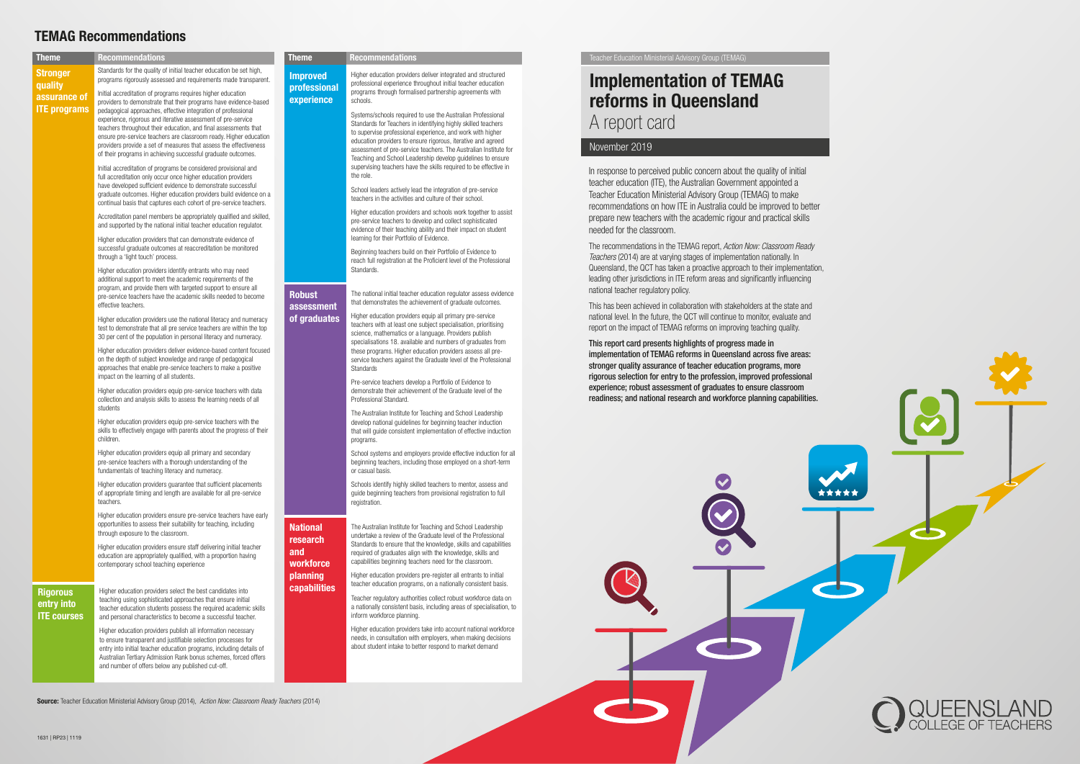| <b>Theme</b>               | <b>Recommendations</b>                                                                                                                                                                                                                                                                                                                                                                                                                                                                                                                                                                                                                                                                                                                  | Theme                           | <b>Recommendations</b>                                                                                                           | Teacher Education Ministerial Advisory Group (TEMAG)                                                                                                        |  |
|----------------------------|-----------------------------------------------------------------------------------------------------------------------------------------------------------------------------------------------------------------------------------------------------------------------------------------------------------------------------------------------------------------------------------------------------------------------------------------------------------------------------------------------------------------------------------------------------------------------------------------------------------------------------------------------------------------------------------------------------------------------------------------|---------------------------------|----------------------------------------------------------------------------------------------------------------------------------|-------------------------------------------------------------------------------------------------------------------------------------------------------------|--|
| <b>Stronger</b><br>quality | Standards for the quality of initial teacher education be set high,<br>programs rigorously assessed and requirements made transparent.                                                                                                                                                                                                                                                                                                                                                                                                                                                                                                                                                                                                  | <b>Improved</b><br>professional | Higher education providers deliver integrated and structured<br>professional experience throughout initial teacher education     | <b>Implementation of TEMAG</b>                                                                                                                              |  |
| assurance of               | Initial accreditation of programs requires higher education<br>providers to demonstrate that their programs have evidence-based                                                                                                                                                                                                                                                                                                                                                                                                                                                                                                                                                                                                         | experience                      | programs through formalised partnership agreements with<br>schools.                                                              | reforms in Queensland                                                                                                                                       |  |
| <b>ITE programs</b>        | pedagogical approaches, effective integration of professional<br>experience, rigorous and iterative assessment of pre-service                                                                                                                                                                                                                                                                                                                                                                                                                                                                                                                                                                                                           |                                 | Systems/schools required to use the Australian Professional                                                                      |                                                                                                                                                             |  |
|                            | teachers throughout their education, and final assessments that                                                                                                                                                                                                                                                                                                                                                                                                                                                                                                                                                                                                                                                                         |                                 | Standards for Teachers in identifying highly skilled teachers<br>to supervise professional experience, and work with higher      | A report card                                                                                                                                               |  |
|                            | ensure pre-service teachers are classroom ready. Higher education<br>providers provide a set of measures that assess the effectiveness                                                                                                                                                                                                                                                                                                                                                                                                                                                                                                                                                                                                  |                                 | education providers to ensure rigorous, iterative and agreed                                                                     | November 2019                                                                                                                                               |  |
|                            | of their programs in achieving successful graduate outcomes.<br>Initial accreditation of programs be considered provisional and<br>full accreditation only occur once higher education providers<br>have developed sufficient evidence to demonstrate successful<br>graduate outcomes. Higher education providers build evidence on a<br>continual basis that captures each cohort of pre-service teachers.                                                                                                                                                                                                                                                                                                                             |                                 | assessment of pre-service teachers. The Australian Institute for<br>Teaching and School Leadership develop guidelines to ensure  |                                                                                                                                                             |  |
|                            |                                                                                                                                                                                                                                                                                                                                                                                                                                                                                                                                                                                                                                                                                                                                         |                                 | supervising teachers have the skills required to be effective in                                                                 | In response to perceived public concern about the quality of initial                                                                                        |  |
|                            |                                                                                                                                                                                                                                                                                                                                                                                                                                                                                                                                                                                                                                                                                                                                         |                                 | the role.                                                                                                                        | teacher education (ITE), the Australian Government appointed a                                                                                              |  |
|                            |                                                                                                                                                                                                                                                                                                                                                                                                                                                                                                                                                                                                                                                                                                                                         |                                 | School leaders actively lead the integration of pre-service<br>teachers in the activities and culture of their school.           | Teacher Education Ministerial Advisory Group (TEMAG) to make                                                                                                |  |
|                            |                                                                                                                                                                                                                                                                                                                                                                                                                                                                                                                                                                                                                                                                                                                                         |                                 | Higher education providers and schools work together to assist                                                                   | recommendations on how ITE in Australia could be improved to bette                                                                                          |  |
|                            | Accreditation panel members be appropriately qualified and skilled,<br>and supported by the national initial teacher education regulator.                                                                                                                                                                                                                                                                                                                                                                                                                                                                                                                                                                                               |                                 | pre-service teachers to develop and collect sophisticated                                                                        | prepare new teachers with the academic rigour and practical skills                                                                                          |  |
|                            | Higher education providers that can demonstrate evidence of<br>successful graduate outcomes at reaccreditation be monitored                                                                                                                                                                                                                                                                                                                                                                                                                                                                                                                                                                                                             |                                 | evidence of their teaching ability and their impact on student<br>learning for their Portfolio of Evidence.                      | needed for the classroom.                                                                                                                                   |  |
|                            |                                                                                                                                                                                                                                                                                                                                                                                                                                                                                                                                                                                                                                                                                                                                         |                                 | Beginning teachers build on their Portfolio of Evidence to                                                                       | The recommendations in the TEMAG report, Action Now: Classroom Ready                                                                                        |  |
|                            | through a 'light touch' process.                                                                                                                                                                                                                                                                                                                                                                                                                                                                                                                                                                                                                                                                                                        |                                 | reach full registration at the Proficient level of the Professional                                                              | Teachers (2014) are at varying stages of implementation nationally. In                                                                                      |  |
|                            | Higher education providers identify entrants who may need<br>additional support to meet the academic requirements of the<br>program, and provide them with targeted support to ensure all<br>pre-service teachers have the academic skills needed to become<br>effective teachers.<br>Higher education providers use the national literacy and numeracy<br>test to demonstrate that all pre service teachers are within the top<br>30 per cent of the population in personal literacy and numeracy.                                                                                                                                                                                                                                     |                                 | Standards.                                                                                                                       | Queensland, the QCT has taken a proactive approach to their implementation<br>leading other jurisdictions in ITE reform areas and significantly influencing |  |
|                            |                                                                                                                                                                                                                                                                                                                                                                                                                                                                                                                                                                                                                                                                                                                                         | <b>Robust</b>                   | The national initial teacher education regulator assess evidence                                                                 | national teacher regulatory policy.                                                                                                                         |  |
|                            |                                                                                                                                                                                                                                                                                                                                                                                                                                                                                                                                                                                                                                                                                                                                         | assessment                      | that demonstrates the achievement of graduate outcomes.                                                                          | This has been achieved in collaboration with stakeholders at the state and                                                                                  |  |
|                            |                                                                                                                                                                                                                                                                                                                                                                                                                                                                                                                                                                                                                                                                                                                                         | of graduates                    | Higher education providers equip all primary pre-service                                                                         | national level. In the future, the QCT will continue to monitor, evaluate and                                                                               |  |
|                            |                                                                                                                                                                                                                                                                                                                                                                                                                                                                                                                                                                                                                                                                                                                                         |                                 | teachers with at least one subject specialisation, prioritising<br>science, mathematics or a language. Providers publish         | report on the impact of TEMAG reforms on improving teaching quality.                                                                                        |  |
|                            |                                                                                                                                                                                                                                                                                                                                                                                                                                                                                                                                                                                                                                                                                                                                         |                                 | specialisations 18. available and numbers of graduates from                                                                      | This report card presents highlights of progress made in                                                                                                    |  |
|                            | Higher education providers deliver evidence-based content focused<br>on the depth of subject knowledge and range of pedagogical<br>approaches that enable pre-service teachers to make a positive<br>impact on the learning of all students.<br>Higher education providers equip pre-service teachers with data<br>collection and analysis skills to assess the learning needs of all<br>students<br>Higher education providers equip pre-service teachers with the<br>skills to effectively engage with parents about the progress of their<br>children.<br>Higher education providers equip all primary and secondary<br>pre-service teachers with a thorough understanding of the<br>fundamentals of teaching literacy and numeracy. |                                 | these programs. Higher education providers assess all pre-<br>service teachers against the Graduate level of the Professional    | implementation of TEMAG reforms in Queensland across five areas:                                                                                            |  |
|                            |                                                                                                                                                                                                                                                                                                                                                                                                                                                                                                                                                                                                                                                                                                                                         |                                 | Standards                                                                                                                        | stronger quality assurance of teacher education programs, more                                                                                              |  |
|                            |                                                                                                                                                                                                                                                                                                                                                                                                                                                                                                                                                                                                                                                                                                                                         |                                 | Pre-service teachers develop a Portfolio of Evidence to                                                                          | rigorous selection for entry to the profession, improved professional<br>experience; robust assessment of graduates to ensure classroom                     |  |
|                            |                                                                                                                                                                                                                                                                                                                                                                                                                                                                                                                                                                                                                                                                                                                                         |                                 | demonstrate their achievement of the Graduate level of the<br>Professional Standard.                                             | readiness; and national research and workforce planning capabilities                                                                                        |  |
|                            |                                                                                                                                                                                                                                                                                                                                                                                                                                                                                                                                                                                                                                                                                                                                         |                                 | The Australian Institute for Teaching and School Leadership                                                                      |                                                                                                                                                             |  |
|                            |                                                                                                                                                                                                                                                                                                                                                                                                                                                                                                                                                                                                                                                                                                                                         |                                 | develop national quidelines for beginning teacher induction                                                                      |                                                                                                                                                             |  |
|                            |                                                                                                                                                                                                                                                                                                                                                                                                                                                                                                                                                                                                                                                                                                                                         |                                 | that will guide consistent implementation of effective induction<br>programs.                                                    |                                                                                                                                                             |  |
|                            |                                                                                                                                                                                                                                                                                                                                                                                                                                                                                                                                                                                                                                                                                                                                         |                                 | School systems and employers provide effective induction for all                                                                 |                                                                                                                                                             |  |
|                            |                                                                                                                                                                                                                                                                                                                                                                                                                                                                                                                                                                                                                                                                                                                                         |                                 | beginning teachers, including those employed on a short-term                                                                     |                                                                                                                                                             |  |
|                            |                                                                                                                                                                                                                                                                                                                                                                                                                                                                                                                                                                                                                                                                                                                                         |                                 | or casual basis.                                                                                                                 |                                                                                                                                                             |  |
|                            | Higher education providers guarantee that sufficient placements<br>of appropriate timing and length are available for all pre-service                                                                                                                                                                                                                                                                                                                                                                                                                                                                                                                                                                                                   |                                 | Schools identify highly skilled teachers to mentor, assess and<br>guide beginning teachers from provisional registration to full |                                                                                                                                                             |  |
|                            | teachers.                                                                                                                                                                                                                                                                                                                                                                                                                                                                                                                                                                                                                                                                                                                               |                                 | registration.                                                                                                                    |                                                                                                                                                             |  |
|                            | Higher education providers ensure pre-service teachers have early<br>opportunities to assess their suitability for teaching, including<br>through exposure to the classroom.                                                                                                                                                                                                                                                                                                                                                                                                                                                                                                                                                            |                                 |                                                                                                                                  |                                                                                                                                                             |  |
|                            |                                                                                                                                                                                                                                                                                                                                                                                                                                                                                                                                                                                                                                                                                                                                         | <b>National</b>                 | The Australian Institute for Teaching and School Leadership<br>undertake a review of the Graduate level of the Professional      |                                                                                                                                                             |  |
|                            | Higher education providers ensure staff delivering initial teacher                                                                                                                                                                                                                                                                                                                                                                                                                                                                                                                                                                                                                                                                      | research                        | Standards to ensure that the knowledge, skills and capabilities                                                                  |                                                                                                                                                             |  |
|                            | education are appropriately qualified, with a proportion having                                                                                                                                                                                                                                                                                                                                                                                                                                                                                                                                                                                                                                                                         | and                             | required of graduates align with the knowledge, skills and<br>capabilities beginning teachers need for the classroom.            |                                                                                                                                                             |  |
|                            | contemporary school teaching experience                                                                                                                                                                                                                                                                                                                                                                                                                                                                                                                                                                                                                                                                                                 | workforce                       |                                                                                                                                  |                                                                                                                                                             |  |
|                            |                                                                                                                                                                                                                                                                                                                                                                                                                                                                                                                                                                                                                                                                                                                                         | planning<br>capabilities        | Higher education providers pre-register all entrants to initial<br>teacher education programs, on a nationally consistent basis. |                                                                                                                                                             |  |
| <b>Rigorous</b>            | Higher education providers select the best candidates into<br>teaching using sophisticated approaches that ensure initial<br>teacher education students possess the required academic skills                                                                                                                                                                                                                                                                                                                                                                                                                                                                                                                                            |                                 | Teacher regulatory authorities collect robust workforce data on                                                                  |                                                                                                                                                             |  |
| entry into                 |                                                                                                                                                                                                                                                                                                                                                                                                                                                                                                                                                                                                                                                                                                                                         |                                 | a nationally consistent basis, including areas of specialisation, to                                                             |                                                                                                                                                             |  |
| <b>ITE courses</b>         | and personal characteristics to become a successful teacher.                                                                                                                                                                                                                                                                                                                                                                                                                                                                                                                                                                                                                                                                            |                                 | inform workforce planning.                                                                                                       |                                                                                                                                                             |  |
|                            | Higher education providers publish all information necessary<br>to ensure transparent and justifiable selection processes for                                                                                                                                                                                                                                                                                                                                                                                                                                                                                                                                                                                                           |                                 | Higher education providers take into account national workforce<br>needs, in consultation with employers, when making decisions  |                                                                                                                                                             |  |
|                            | entry into initial teacher education programs, including details of                                                                                                                                                                                                                                                                                                                                                                                                                                                                                                                                                                                                                                                                     |                                 | about student intake to better respond to market demand                                                                          |                                                                                                                                                             |  |
|                            | Australian Tertiary Admission Rank bonus schemes, forced offers<br>and number of offers below any published cut-off.                                                                                                                                                                                                                                                                                                                                                                                                                                                                                                                                                                                                                    |                                 |                                                                                                                                  |                                                                                                                                                             |  |
|                            |                                                                                                                                                                                                                                                                                                                                                                                                                                                                                                                                                                                                                                                                                                                                         |                                 |                                                                                                                                  |                                                                                                                                                             |  |
|                            |                                                                                                                                                                                                                                                                                                                                                                                                                                                                                                                                                                                                                                                                                                                                         |                                 |                                                                                                                                  |                                                                                                                                                             |  |
|                            | Source: Teacher Education Ministerial Advisory Group (2014), Action Now: Classroom Ready Teachers (2014)                                                                                                                                                                                                                                                                                                                                                                                                                                                                                                                                                                                                                                |                                 |                                                                                                                                  |                                                                                                                                                             |  |



ementation,





## TEMAG Recommendations

1631 | RP23 | 1119